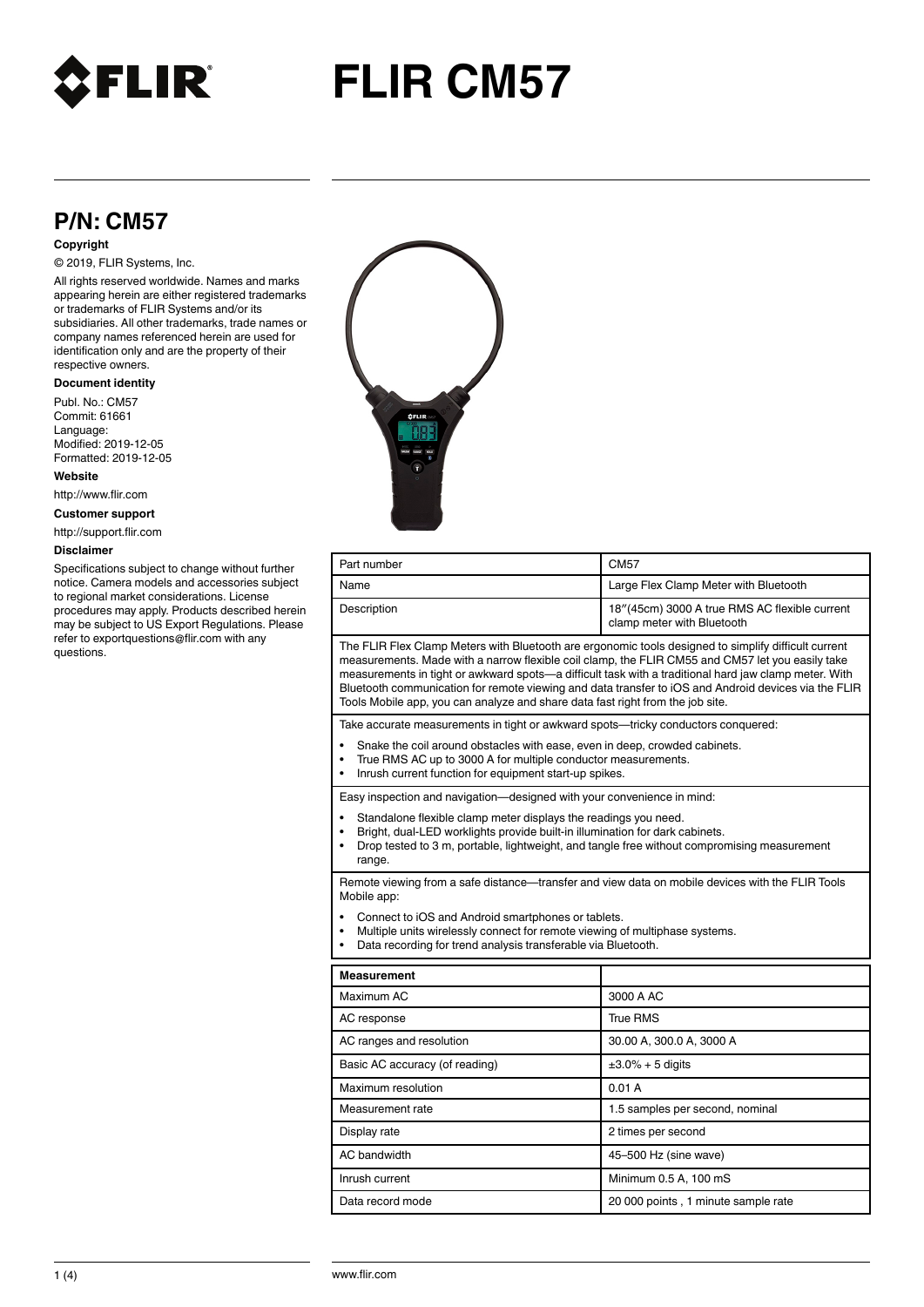

# **FLIR CM57**

## **P/N: CM57**

#### **Copyright**

© 2019, FLIR Systems, Inc.

All rights reserved worldwide. Names and marks appearing herein are either registered trademarks or trademarks of FLIR Systems and/or its subsidiaries. All other trademarks, trade names or company names referenced herein are used for identification only and are the property of their respective owners.

#### **Document identity**

Publ. No.: CM57 Commit: 61661 Language: Modified: 2019-12-05 Formatted: 2019-12-05

**Website**

http://www.flir.com

**Customer support**

http://support.flir.com

#### **Disclaimer**

Specifications subject to change without further notice. Camera models and accessories subject to regional market considerations. License procedures may apply. Products described herein may be subject to US Export Regulations. Please refer to exportquestions@flir.com with any questions.



| Part number                                                                                                                                                                                                                                                                                                                                                                                         | <b>CM57</b>                                                                                          |
|-----------------------------------------------------------------------------------------------------------------------------------------------------------------------------------------------------------------------------------------------------------------------------------------------------------------------------------------------------------------------------------------------------|------------------------------------------------------------------------------------------------------|
| Name                                                                                                                                                                                                                                                                                                                                                                                                | Large Flex Clamp Meter with Bluetooth                                                                |
| Description                                                                                                                                                                                                                                                                                                                                                                                         | 18"(45cm) 3000 A true RMS AC flexible current<br>clamp meter with Bluetooth                          |
| The FLIR Flex Clamp Meters with Bluetooth are ergonomic tools designed to simplify difficult current<br>measurements. Made with a narrow flexible coil clamp, the FLIR CM55 and CM57 let you easily take<br>measurements in tight or awkward spots—a difficult task with a traditional hard jaw clamp meter. With<br>Tools Mobile app, you can analyze and share data fast right from the job site. | Bluetooth communication for remote viewing and data transfer to iOS and Android devices via the FLIR |
| Take accurate measurements in tight or awkward spots—tricky conductors conquered:                                                                                                                                                                                                                                                                                                                   |                                                                                                      |
| Snake the coil around obstacles with ease, even in deep, crowded cabinets.<br>$\bullet$<br>True RMS AC up to 3000 A for multiple conductor measurements.<br>$\bullet$<br>Inrush current function for equipment start-up spikes.<br>$\bullet$                                                                                                                                                        |                                                                                                      |
| Easy inspection and navigation-designed with your convenience in mind:                                                                                                                                                                                                                                                                                                                              |                                                                                                      |
| Standalone flexible clamp meter displays the readings you need.<br>$\bullet$<br>Bright, dual-LED worklights provide built-in illumination for dark cabinets.<br>$\bullet$<br>Drop tested to 3 m, portable, lightweight, and tangle free without compromising measurement<br>$\bullet$<br>range.                                                                                                     |                                                                                                      |
| Remote viewing from a safe distance—transfer and view data on mobile devices with the FLIR Tools<br>Mobile app:                                                                                                                                                                                                                                                                                     |                                                                                                      |
| Connect to iOS and Android smartphones or tablets.<br>Multiple units wirelessly connect for remote viewing of multiphase systems.<br>$\bullet$<br>Data recording for trend analysis transferable via Bluetooth.<br>$\bullet$                                                                                                                                                                        |                                                                                                      |
| Measurement                                                                                                                                                                                                                                                                                                                                                                                         |                                                                                                      |
| Maximum AC                                                                                                                                                                                                                                                                                                                                                                                          | 3000 A AC                                                                                            |
| AC response                                                                                                                                                                                                                                                                                                                                                                                         | True RMS                                                                                             |
| AC ranges and resolution                                                                                                                                                                                                                                                                                                                                                                            | 30.00 A, 300.0 A, 3000 A                                                                             |
| Basic AC accuracy (of reading)                                                                                                                                                                                                                                                                                                                                                                      | $\pm 3.0\% + 5$ digits                                                                               |
| Maximum resolution                                                                                                                                                                                                                                                                                                                                                                                  | 0.01A                                                                                                |
| Measurement rate                                                                                                                                                                                                                                                                                                                                                                                    | 1.5 samples per second, nominal                                                                      |
| Display rate                                                                                                                                                                                                                                                                                                                                                                                        | 2 times per second                                                                                   |
| AC bandwidth                                                                                                                                                                                                                                                                                                                                                                                        | 45-500 Hz (sine wave)                                                                                |
| Inrush current                                                                                                                                                                                                                                                                                                                                                                                      | Minimum 0.5 A, 100 mS                                                                                |
| Data record mode                                                                                                                                                                                                                                                                                                                                                                                    | 20 000 points, 1 minute sample rate                                                                  |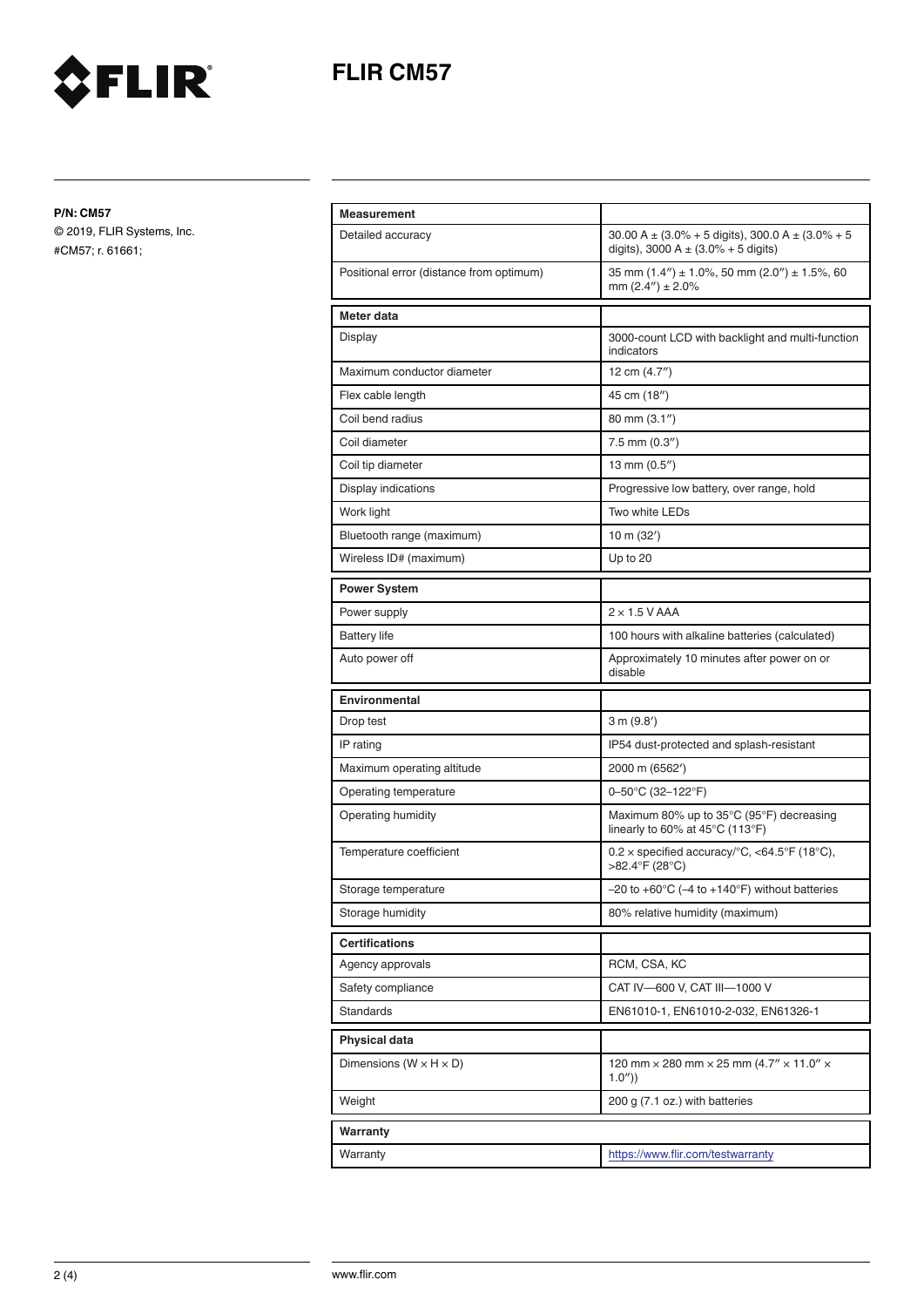



**P/N: CM57**

© 2019, FLIR Systems, Inc. #CM57; r. 61661;

| <b>Measurement</b>                       |                                                                                                     |
|------------------------------------------|-----------------------------------------------------------------------------------------------------|
| Detailed accuracy                        | 30.00 A $\pm$ (3.0% + 5 digits), 300.0 A $\pm$ (3.0% + 5<br>digits), 3000 A $\pm$ (3.0% + 5 digits) |
| Positional error (distance from optimum) | 35 mm $(1.4'') \pm 1.0\%$ , 50 mm $(2.0'') \pm 1.5\%$ , 60<br>mm $(2.4'') \pm 2.0\%$                |
| Meter data                               |                                                                                                     |
| Display                                  | 3000-count LCD with backlight and multi-function<br>indicators                                      |
| Maximum conductor diameter               | 12 cm (4.7")                                                                                        |
| Flex cable length                        | 45 cm (18")                                                                                         |
| Coil bend radius                         | 80 mm (3.1")                                                                                        |
| Coil diameter                            | $7.5$ mm $(0.3")$                                                                                   |
| Coil tip diameter                        | 13 mm (0.5")                                                                                        |
| Display indications                      | Progressive low battery, over range, hold                                                           |
| Work light                               | Two white LEDs                                                                                      |
| Bluetooth range (maximum)                | 10 m (32')                                                                                          |
| Wireless ID# (maximum)                   | Up to 20                                                                                            |
| <b>Power System</b>                      |                                                                                                     |
| Power supply                             | $2 \times 1.5$ V AAA                                                                                |
| <b>Battery life</b>                      | 100 hours with alkaline batteries (calculated)                                                      |
| Auto power off                           | Approximately 10 minutes after power on or<br>disable                                               |
| <b>Environmental</b>                     |                                                                                                     |
| Drop test                                | 3 m (9.8')                                                                                          |
| IP rating                                | IP54 dust-protected and splash-resistant                                                            |
| Maximum operating altitude               | 2000 m (6562')                                                                                      |
| Operating temperature                    | 0-50°C (32-122°F)                                                                                   |
| Operating humidity                       | Maximum 80% up to 35°C (95°F) decreasing<br>linearly to 60% at 45°C (113°F)                         |
| Temperature coefficient                  | $0.2 \times$ specified accuracy/°C, <64.5°F (18°C),<br>>82.4°F (28°C)                               |
| Storage temperature                      | $-20$ to $+60^{\circ}$ C ( $-4$ to $+140^{\circ}$ F) without batteries                              |
| Storage humidity                         | 80% relative humidity (maximum)                                                                     |
| <b>Certifications</b>                    |                                                                                                     |
| Agency approvals                         | RCM, CSA, KC                                                                                        |
| Safety compliance                        | CAT IV-600 V, CAT III-1000 V                                                                        |
| Standards                                | EN61010-1, EN61010-2-032, EN61326-1                                                                 |
| <b>Physical data</b>                     |                                                                                                     |
| Dimensions ( $W \times H \times D$ )     | 120 mm $\times$ 280 mm $\times$ 25 mm (4.7" $\times$ 11.0" $\times$<br>1.0'')                       |
| Weight                                   | 200 g (7.1 oz.) with batteries                                                                      |
| Warranty                                 |                                                                                                     |
| Warranty                                 | https://www.flir.com/testwarranty                                                                   |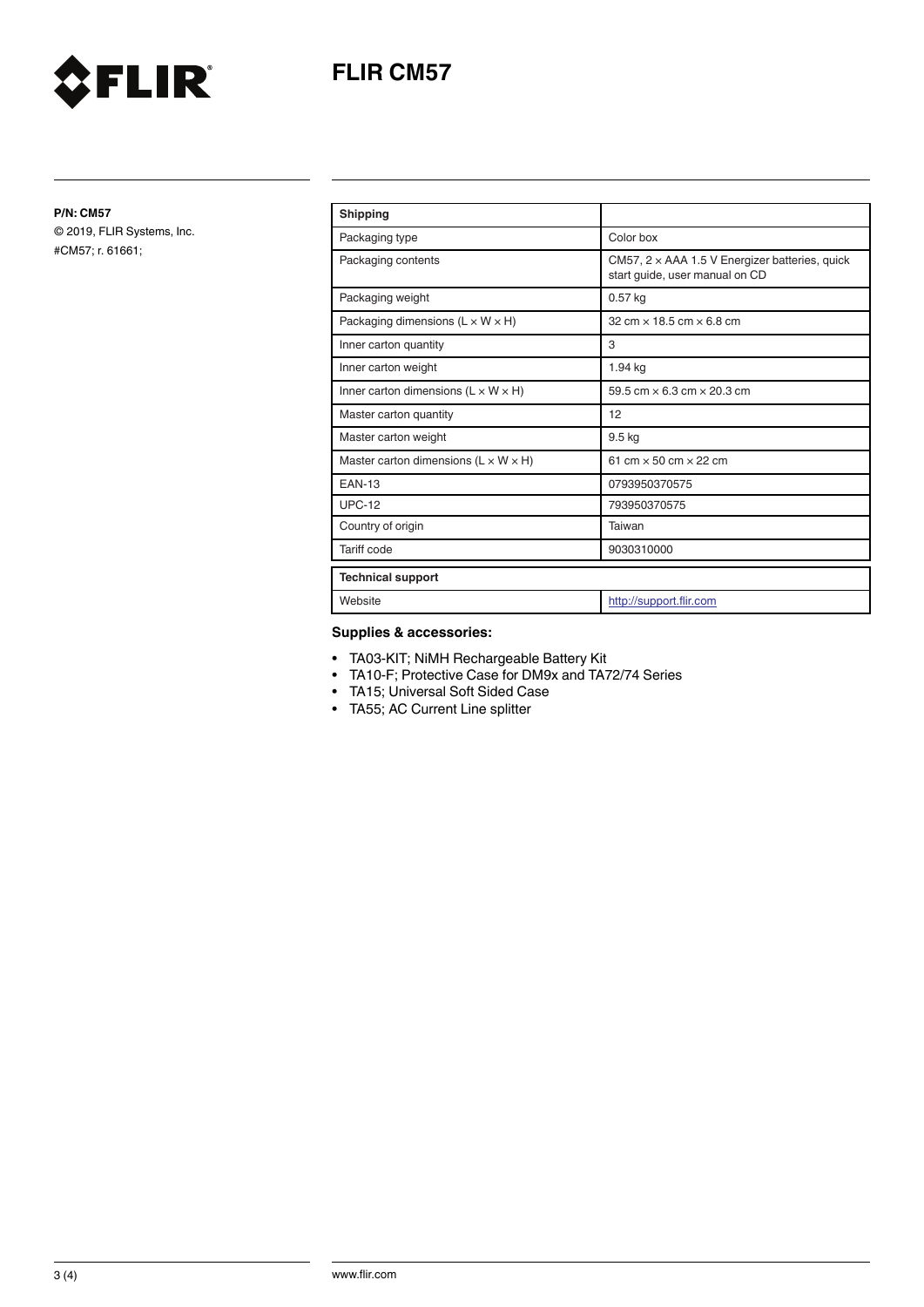



**P/N: CM57**

© 2019, FLIR Systems, Inc. #CM57; r. 61661;

| <b>Shipping</b>                                    |                                                                                         |
|----------------------------------------------------|-----------------------------------------------------------------------------------------|
| Packaging type                                     | Color box                                                                               |
| Packaging contents                                 | CM57, $2 \times$ AAA 1.5 V Energizer batteries, quick<br>start guide, user manual on CD |
| Packaging weight                                   | $0.57$ kg                                                                               |
| Packaging dimensions $(L \times W \times H)$       | $32 \text{ cm} \times 18.5 \text{ cm} \times 6.8 \text{ cm}$                            |
| Inner carton quantity                              | 3                                                                                       |
| Inner carton weight                                | 1.94 kg                                                                                 |
| Inner carton dimensions $(L \times W \times H)$    | 59.5 cm $\times$ 6.3 cm $\times$ 20.3 cm                                                |
| Master carton quantity                             | 12                                                                                      |
| Master carton weight                               | $9.5$ kg                                                                                |
| Master carton dimensions ( $L \times W \times H$ ) | 61 cm $\times$ 50 cm $\times$ 22 cm                                                     |
| <b>FAN-13</b>                                      | 0793950370575                                                                           |
| $UPC-12$                                           | 793950370575                                                                            |
| Country of origin                                  | Taiwan                                                                                  |
| <b>Tariff code</b>                                 | 9030310000                                                                              |
| <b>Technical support</b>                           |                                                                                         |
| Website                                            | http://support.flir.com                                                                 |

### **Supplies & accessories:**

- TA03-KIT; NiMH Rechargeable Battery Kit
- TA10-F; Protective Case for DM9x and TA72/74 Series
- TA15; Universal Soft Sided Case
- TA55; AC Current Line splitter